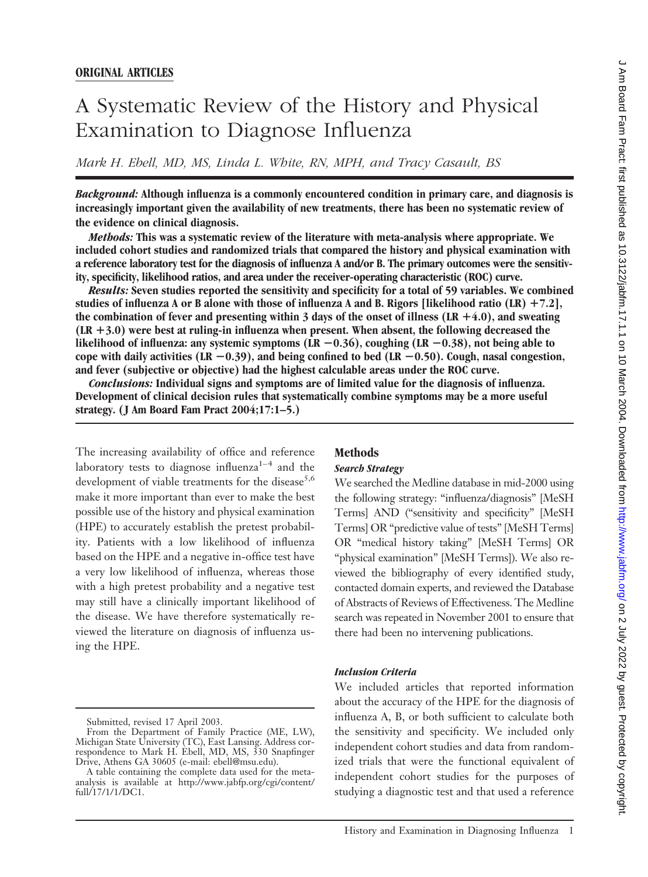# A Systematic Review of the History and Physical Examination to Diagnose Influenza

*Mark H. Ebell, MD, MS, Linda L. White, RN, MPH, and Tracy Casault, BS*

*Background:* **Although influenza is a commonly encountered condition in primary care, and diagnosis is increasingly important given the availability of new treatments, there has been no systematic review of the evidence on clinical diagnosis.**

*Methods:* **This was a systematic review of the literature with meta-analysis where appropriate. We included cohort studies and randomized trials that compared the history and physical examination with a reference laboratory test for the diagnosis of influenza A and/or B. The primary outcomes were the sensitivity, specificity, likelihood ratios, and area under the receiver-operating characteristic (ROC) curve.**

*Results:* **Seven studies reported the sensitivity and specificity for a total of 59 variables. We combined studies of influenza A or B alone with those of influenza A and B. Rigors [likelihood ratio (LR) 7.2], the combination of fever and presenting within 3 days of the onset of illness (LR 4.0), and sweating (LR 3.0) were best at ruling-in influenza when present. When absent, the following decreased the** likelihood of influenza: any systemic symptoms (LR −0.36), coughing (LR −0.38), not being able to **cope with daily activities (LR** -**0.39), and being confined to bed (LR** -**0.50). Cough, nasal congestion, and fever (subjective or objective) had the highest calculable areas under the ROC curve.**

*Conclusions:* **Individual signs and symptoms are of limited value for the diagnosis of influenza. Development of clinical decision rules that systematically combine symptoms may be a more useful strategy. (J Am Board Fam Pract 2004;17:1–5.)**

The increasing availability of office and reference laboratory tests to diagnose influenza $1-4$  and the development of viable treatments for the disease<sup>5,6</sup> make it more important than ever to make the best possible use of the history and physical examination (HPE) to accurately establish the pretest probability. Patients with a low likelihood of influenza based on the HPE and a negative in-office test have a very low likelihood of influenza, whereas those with a high pretest probability and a negative test may still have a clinically important likelihood of the disease. We have therefore systematically reviewed the literature on diagnosis of influenza using the HPE.

# **Methods**

#### *Search Strategy*

We searched the Medline database in mid-2000 using the following strategy: "influenza/diagnosis" [MeSH Terms] AND ("sensitivity and specificity" [MeSH Terms] OR "predictive value of tests" [MeSH Terms] OR "medical history taking" [MeSH Terms] OR "physical examination" [MeSH Terms]). We also reviewed the bibliography of every identified study, contacted domain experts, and reviewed the Database of Abstracts of Reviews of Effectiveness. The Medline search was repeated in November 2001 to ensure that there had been no intervening publications.

### *Inclusion Criteria*

We included articles that reported information about the accuracy of the HPE for the diagnosis of influenza A, B, or both sufficient to calculate both the sensitivity and specificity. We included only independent cohort studies and data from randomized trials that were the functional equivalent of independent cohort studies for the purposes of studying a diagnostic test and that used a reference

Submitted, revised 17 April 2003.

From the Department of Family Practice (ME, LW), Michigan State University (TC), East Lansing. Address correspondence to Mark H. Ebell, MD, MS, 330 Snapfinger Drive, Athens GA 30605 (e-mail: ebell@msu.edu).

A table containing the complete data used for the metaanalysis is available at http://www.jabfp.org/cgi/content/ full/17/1/1/DC1.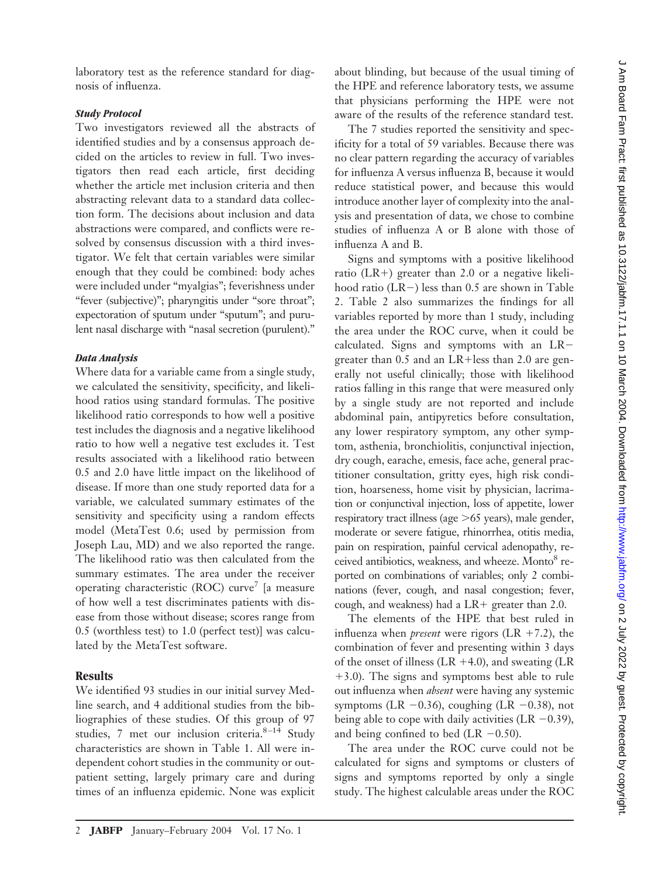laboratory test as the reference standard for diagnosis of influenza.

## *Study Protocol*

Two investigators reviewed all the abstracts of identified studies and by a consensus approach decided on the articles to review in full. Two investigators then read each article, first deciding whether the article met inclusion criteria and then abstracting relevant data to a standard data collection form. The decisions about inclusion and data abstractions were compared, and conflicts were resolved by consensus discussion with a third investigator. We felt that certain variables were similar enough that they could be combined: body aches were included under "myalgias"; feverishness under "fever (subjective)"; pharyngitis under "sore throat"; expectoration of sputum under "sputum"; and purulent nasal discharge with "nasal secretion (purulent)."

### *Data Analysis*

Where data for a variable came from a single study, we calculated the sensitivity, specificity, and likelihood ratios using standard formulas. The positive likelihood ratio corresponds to how well a positive test includes the diagnosis and a negative likelihood ratio to how well a negative test excludes it. Test results associated with a likelihood ratio between 0.5 and 2.0 have little impact on the likelihood of disease. If more than one study reported data for a variable, we calculated summary estimates of the sensitivity and specificity using a random effects model (MetaTest 0.6; used by permission from Joseph Lau, MD) and we also reported the range. The likelihood ratio was then calculated from the summary estimates. The area under the receiver operating characteristic (ROC) curve<sup>7</sup> [a measure of how well a test discriminates patients with disease from those without disease; scores range from 0.5 (worthless test) to 1.0 (perfect test)] was calculated by the MetaTest software.

## **Results**

We identified 93 studies in our initial survey Medline search, and 4 additional studies from the bibliographies of these studies. Of this group of 97 studies, 7 met our inclusion criteria. $8-14$  Study characteristics are shown in Table 1. All were independent cohort studies in the community or outpatient setting, largely primary care and during times of an influenza epidemic. None was explicit about blinding, but because of the usual timing of the HPE and reference laboratory tests, we assume that physicians performing the HPE were not aware of the results of the reference standard test.

The 7 studies reported the sensitivity and specificity for a total of 59 variables. Because there was no clear pattern regarding the accuracy of variables for influenza A versus influenza B, because it would reduce statistical power, and because this would introduce another layer of complexity into the analysis and presentation of data, we chose to combine studies of influenza A or B alone with those of influenza A and B.

Signs and symptoms with a positive likelihood ratio  $(LR+)$  greater than 2.0 or a negative likelihood ratio (LR-) less than 0.5 are shown in Table 2. Table 2 also summarizes the findings for all variables reported by more than 1 study, including the area under the ROC curve, when it could be calculated. Signs and symptoms with an LR greater than  $0.5$  and an LR+less than 2.0 are generally not useful clinically; those with likelihood ratios falling in this range that were measured only by a single study are not reported and include abdominal pain, antipyretics before consultation, any lower respiratory symptom, any other symptom, asthenia, bronchiolitis, conjunctival injection, dry cough, earache, emesis, face ache, general practitioner consultation, gritty eyes, high risk condition, hoarseness, home visit by physician, lacrimation or conjunctival injection, loss of appetite, lower respiratory tract illness (age  $>65$  years), male gender, moderate or severe fatigue, rhinorrhea, otitis media, pain on respiration, painful cervical adenopathy, received antibiotics, weakness, and wheeze. Monto<sup>8</sup> reported on combinations of variables; only 2 combinations (fever, cough, and nasal congestion; fever, cough, and weakness) had a  $LR+$  greater than 2.0.

The elements of the HPE that best ruled in influenza when *present* were rigors  $(LR + 7.2)$ , the combination of fever and presenting within 3 days of the onset of illness (LR  $+4.0$ ), and sweating (LR 3.0). The signs and symptoms best able to rule out influenza when *absent* were having any systemic symptoms (LR  $-0.36$ ), coughing (LR  $-0.38$ ), not being able to cope with daily activities (LR  $-0.39$ ), and being confined to bed (LR  $-0.50$ ).

The area under the ROC curve could not be calculated for signs and symptoms or clusters of signs and symptoms reported by only a single study. The highest calculable areas under the ROC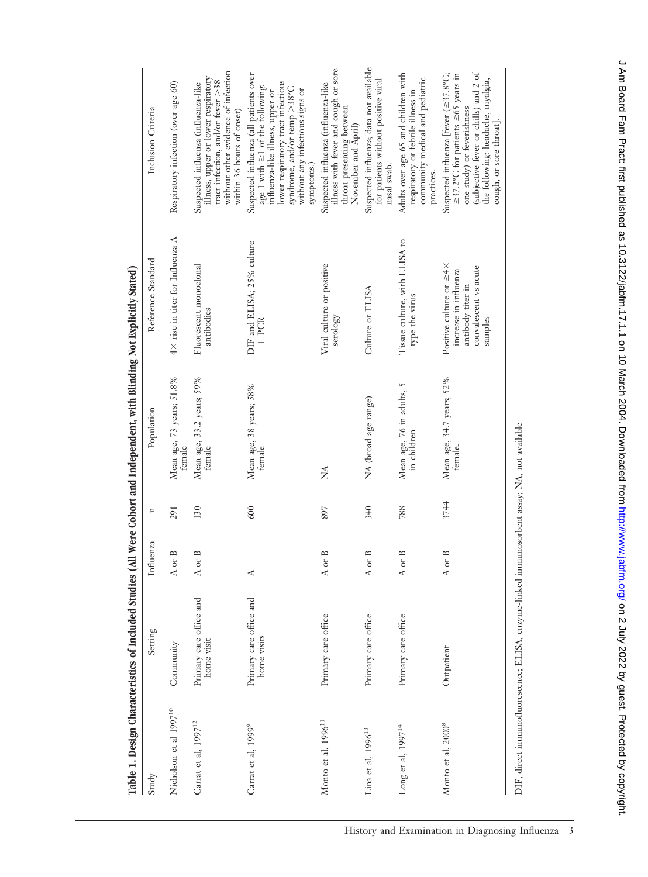|                                    |                                                                                             |                      |              | Table 1. Design Characteristics of Included Studies (All Were Cohort and Independent, with Blinding Not Explicitly Stated) |                                                                                                                       |                                                                                                                                                                                                                                                    |
|------------------------------------|---------------------------------------------------------------------------------------------|----------------------|--------------|----------------------------------------------------------------------------------------------------------------------------|-----------------------------------------------------------------------------------------------------------------------|----------------------------------------------------------------------------------------------------------------------------------------------------------------------------------------------------------------------------------------------------|
| Study                              | Setting                                                                                     | Influenza            | $\mathbf{a}$ | Population                                                                                                                 | Reference Standard                                                                                                    | Inclusion Criteria                                                                                                                                                                                                                                 |
| Nicholson et al 1997 <sup>10</sup> | Community                                                                                   | $\approx$<br>A or    | 291          | Mean age, 73 years; 51.8%<br>temale                                                                                        | $4\times$ rise in titer for Influenza A                                                                               | Respiratory infection (over age 60)                                                                                                                                                                                                                |
| Carrat et al, 1997 <sup>12</sup>   | Primary care office and<br>home visit                                                       | $\approx$<br>A or    | 130          | Mean age, 33.2 years; 59%<br>female                                                                                        | Fluorescent monoclonal<br>antibodies                                                                                  | without other evidence of infection<br>illness, upper or lower respiratory<br>tract infection, and/or fever >38<br>Suspected influenza (influenza-like<br>within 36 hours of onset)                                                                |
| Carrat et al, 1999 <sup>9</sup>    | Primary care office and<br>home visits                                                      | ⋖                    | 600          | Mean age, 38 years; 58%<br>female                                                                                          | DIF and ELISA; 25% culture<br>$+$ PCR                                                                                 | Suspected influenza (all patients over<br>lower respiratory tract infectious<br>age 1 with $\geq$ 1 of the following:<br>syndrome, and/or temp $>38^{\circ}$ C<br>without any infectious signs or<br>influenza-like illness, upper or<br>symptoms. |
| Monto et al, $1996^{11}$           | Primary care office                                                                         | $\mathbf{m}$<br>A or | 897          | Ź                                                                                                                          | Viral culture or positive<br>serology                                                                                 | illness with fever and cough or sore<br>Suspected influenza (influenza-like<br>throat presenting between<br>November and April)                                                                                                                    |
| Lina et al, $1996^{13}$            | Primary care office                                                                         | $\approx$<br>A or    | 340          | NA (broad age range)                                                                                                       | Culture or ELISA                                                                                                      | Suspected influenza; data not available<br>for patients without positive viral<br>nasal swab.                                                                                                                                                      |
| Long et al, $1997^{14}$            | Primary care office                                                                         | $\approx$<br>A or    | 788          | Mean age, 76 in adults, 5<br>in children                                                                                   | Tissue culture, with ELISA to<br>type the virus                                                                       | Adults over age 65 and children with<br>community medical and pediatric<br>respiratory or febrile illness in<br>practices.                                                                                                                         |
| Monto et al, 2000 <sup>8</sup>     | Outpatient                                                                                  | $\mathbf{r}$<br>A or | 3744         | Mean age, 34.7 years; 52%<br>temale.                                                                                       | Positive culture or $\geq 4 \times$<br>convalescent vs acute<br>increase in influenza<br>antibody titer in<br>samples | (subjective fever or chills) and 2 of<br>Suspected influenza [fever $(\geq 37.8^{\circ}\text{C})$ ;<br>$\geq$ 37.2°C for patients $\geq$ 65 years in<br>the following: headache, myalgia,<br>one study) or feverishness<br>cough, or sore throat]. |
|                                    | DIF, direct immunofluorescence; ELISA, enzyme-linked immunosorbent assay; NA, not available |                      |              |                                                                                                                            |                                                                                                                       |                                                                                                                                                                                                                                                    |

J Am Board Fam Pract: first published as 10.3122/jabfm.17.1.1 on 10 March 2004. Downloaded from http://www.jabfm.org/ on 2 July 2022 by guest. Protected by copyright. de 1922 by guest. Protected by copyrights, www.jabfm.org/ David Development Fam Practices from Practic published as 10.3122 Dy Practic Practic Practic Practic Published as 10.3122. Dy 2020 Dy 2020 Downloaded from Highlini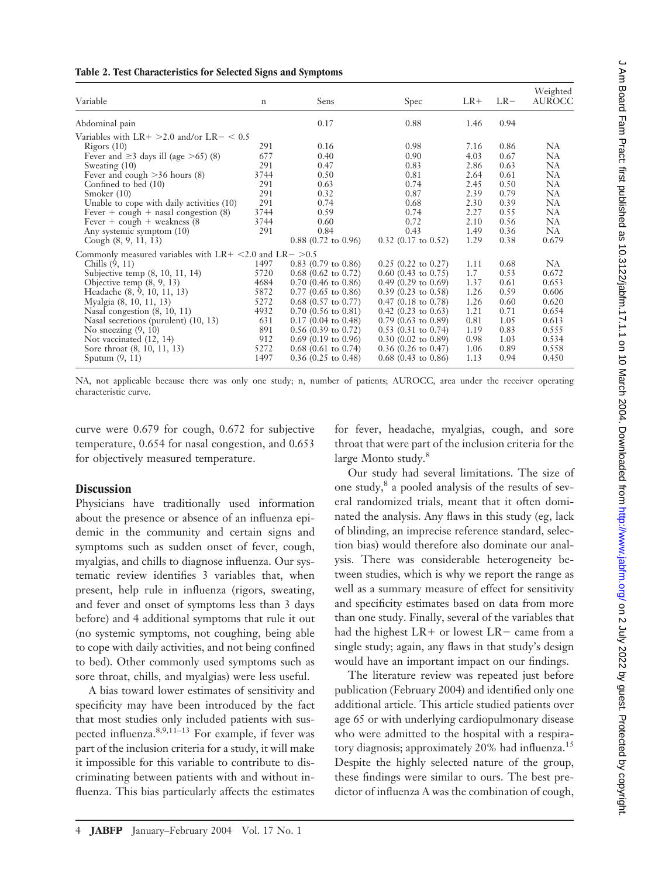| Table 2. Test Characteristics for Selected Signs and Symptoms |
|---------------------------------------------------------------|
|---------------------------------------------------------------|

| $\mathbf n$ | Sens                                                                | Spec                                                                                                          | $LR+$                                 | $LR-$                        | Weighted<br><b>AUROCC</b> |
|-------------|---------------------------------------------------------------------|---------------------------------------------------------------------------------------------------------------|---------------------------------------|------------------------------|---------------------------|
|             | 0.17                                                                | 0.88                                                                                                          | 1.46                                  | 0.94                         |                           |
|             |                                                                     |                                                                                                               |                                       |                              |                           |
| 291         | 0.16                                                                | 0.98                                                                                                          | 7.16                                  | 0.86                         | <b>NA</b>                 |
| 677         | 0.40                                                                | 0.90                                                                                                          | 4.03                                  | 0.67                         | <b>NA</b>                 |
| 291         | 0.47                                                                | 0.83                                                                                                          | 2.86                                  | 0.63                         | <b>NA</b>                 |
| 3744        | 0.50                                                                | 0.81                                                                                                          | 2.64                                  | 0.61                         | <b>NA</b>                 |
| 291         | 0.63                                                                | 0.74                                                                                                          | 2.45                                  | 0.50                         | <b>NA</b>                 |
| 291         | 0.32                                                                | 0.87                                                                                                          | 2.39                                  | 0.79                         | <b>NA</b>                 |
|             | 0.74                                                                | 0.68                                                                                                          |                                       | 0.39                         | <b>NA</b>                 |
|             |                                                                     |                                                                                                               |                                       |                              | <b>NA</b>                 |
| 3744        | 0.60                                                                | 0.72                                                                                                          | 2.10                                  | 0.56                         | <b>NA</b>                 |
|             |                                                                     |                                                                                                               |                                       | 0.36                         | <b>NA</b>                 |
|             |                                                                     |                                                                                                               |                                       |                              | 0.679                     |
|             |                                                                     |                                                                                                               |                                       |                              |                           |
| 1497        | $0.83$ (0.79 to 0.86)                                               | $0.25$ (0.22 to 0.27)                                                                                         | 1.11                                  | 0.68                         | <b>NA</b>                 |
| 5720        | $0.68$ (0.62 to 0.72)                                               | $0.60$ (0.43 to 0.75)                                                                                         | 1.7                                   | 0.53                         | 0.672                     |
| 4684        | $0.70$ (0.46 to 0.86)                                               | $0.49$ (0.29 to 0.69)                                                                                         | 1.37                                  | 0.61                         | 0.653                     |
| 5872        | $0.77$ (0.65 to 0.86)                                               | $0.39$ (0.23 to 0.58)                                                                                         | 1.26                                  | 0.59                         | 0.606                     |
| 5272        | $0.68$ $(0.57 \text{ to } 0.77)$                                    | $0.47$ (0.18 to 0.78)                                                                                         | 1.26                                  | 0.60                         | 0.620                     |
| 4932        | $0.70$ (0.56 to 0.81)                                               | $0.42$ (0.23 to 0.63)                                                                                         | 1.21                                  | 0.71                         | 0.654                     |
| 631         | $0.17$ (0.04 to 0.48)                                               | $0.79$ (0.63 to 0.89)                                                                                         | 0.81                                  | 1.05                         | 0.613                     |
| 891         | $0.56$ (0.39 to 0.72)                                               | $0.53$ (0.31 to 0.74)                                                                                         | 1.19                                  | 0.83                         | 0.555                     |
| 912         | $0.69$ (0.19 to 0.96)                                               | $0.30$ (0.02 to 0.89)                                                                                         | 0.98                                  | 1.03                         | 0.534                     |
| 5272        | $0.68$ (0.61 to 0.74)                                               | $0.36$ (0.26 to 0.47)                                                                                         | 1.06                                  | 0.89                         | 0.558                     |
| 1497        | $0.36$ (0.25 to 0.48)                                               | $0.68$ (0.43 to 0.86)                                                                                         | 1.13                                  | 0.94                         | 0.450                     |
|             | Variables with LR+ $>$ 2.0 and/or LR- $<$ 0.5<br>291<br>3744<br>291 | 0.59<br>0.84<br>$0.88$ (0.72 to 0.96)<br>Commonly measured variables with $LR + \leq 2.0$ and $LR - \geq 0.5$ | 0.74<br>0.43<br>$0.32$ (0.17 to 0.52) | 2.30<br>2.27<br>1.49<br>1.29 | 0.55<br>0.38              |

NA, not applicable because there was only one study; n, number of patients; AUROCC, area under the receiver operating characteristic curve.

curve were 0.679 for cough, 0.672 for subjective temperature, 0.654 for nasal congestion, and 0.653 for objectively measured temperature.

# **Discussion**

Physicians have traditionally used information about the presence or absence of an influenza epidemic in the community and certain signs and symptoms such as sudden onset of fever, cough, myalgias, and chills to diagnose influenza. Our systematic review identifies 3 variables that, when present, help rule in influenza (rigors, sweating, and fever and onset of symptoms less than 3 days before) and 4 additional symptoms that rule it out (no systemic symptoms, not coughing, being able to cope with daily activities, and not being confined to bed). Other commonly used symptoms such as sore throat, chills, and myalgias) were less useful.

A bias toward lower estimates of sensitivity and specificity may have been introduced by the fact that most studies only included patients with suspected influenza.8,9,11–13 For example, if fever was part of the inclusion criteria for a study, it will make it impossible for this variable to contribute to discriminating between patients with and without influenza. This bias particularly affects the estimates for fever, headache, myalgias, cough, and sore throat that were part of the inclusion criteria for the large Monto study.<sup>8</sup>

Our study had several limitations. The size of one study,<sup>8</sup> a pooled analysis of the results of several randomized trials, meant that it often dominated the analysis. Any flaws in this study (eg, lack of blinding, an imprecise reference standard, selection bias) would therefore also dominate our analysis. There was considerable heterogeneity between studies, which is why we report the range as well as a summary measure of effect for sensitivity and specificity estimates based on data from more than one study. Finally, several of the variables that had the highest  $LR+$  or lowest  $LR-$  came from a single study; again, any flaws in that study's design would have an important impact on our findings.

The literature review was repeated just before publication (February 2004) and identified only one additional article. This article studied patients over age 65 or with underlying cardiopulmonary disease who were admitted to the hospital with a respiratory diagnosis; approximately 20% had influenza.<sup>15</sup> Despite the highly selected nature of the group, these findings were similar to ours. The best predictor of influenza A was the combination of cough,